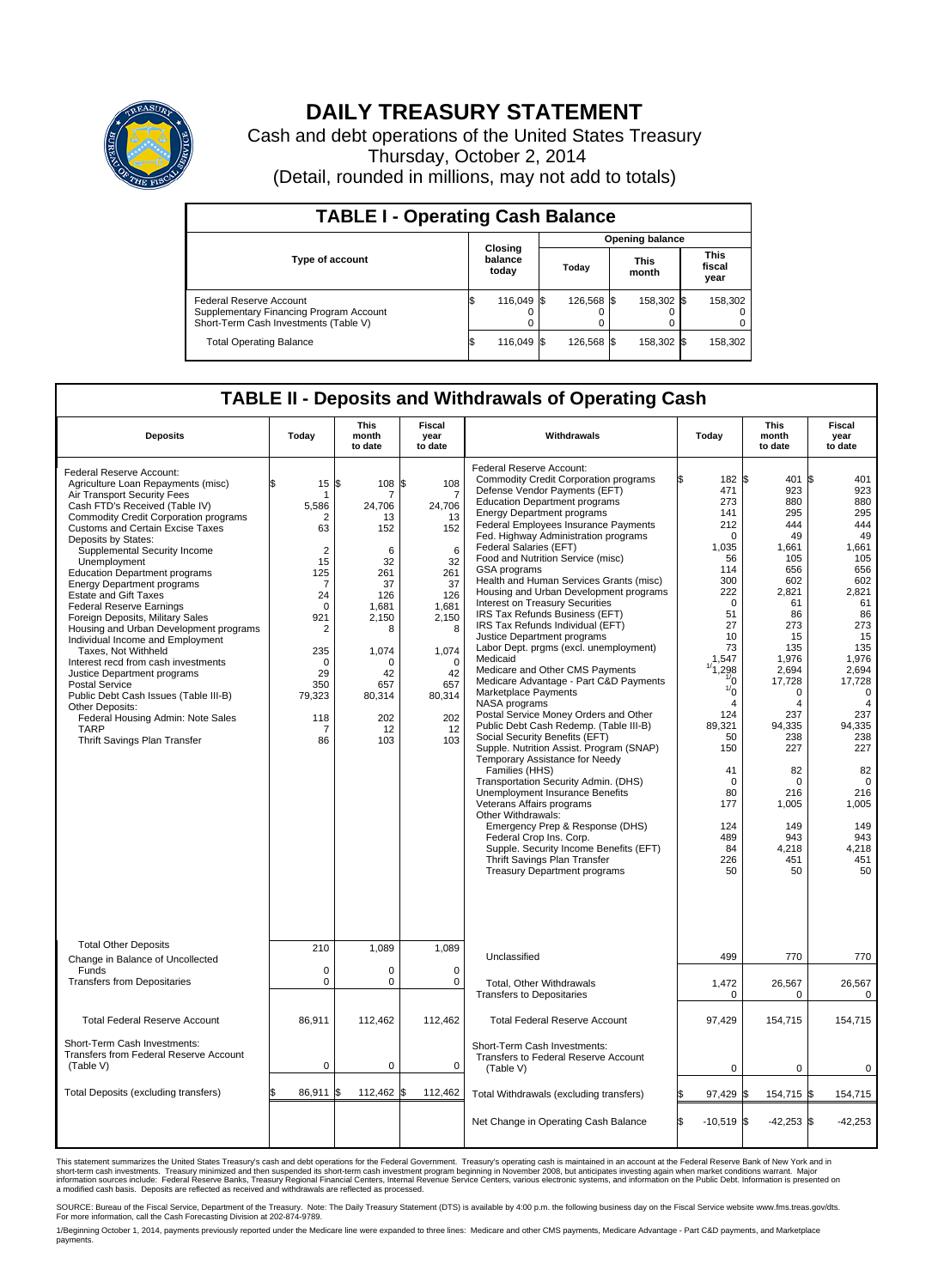

## **DAILY TREASURY STATEMENT**

Cash and debt operations of the United States Treasury Thursday, October 2, 2014 (Detail, rounded in millions, may not add to totals)

| <b>TABLE I - Operating Cash Balance</b>                                                                     |  |                             |  |            |  |                        |  |                               |  |  |  |
|-------------------------------------------------------------------------------------------------------------|--|-----------------------------|--|------------|--|------------------------|--|-------------------------------|--|--|--|
|                                                                                                             |  |                             |  |            |  | <b>Opening balance</b> |  |                               |  |  |  |
| <b>Type of account</b>                                                                                      |  | Closing<br>balance<br>today |  | Today      |  | <b>This</b><br>month   |  | <b>This</b><br>fiscal<br>year |  |  |  |
| Federal Reserve Account<br>Supplementary Financing Program Account<br>Short-Term Cash Investments (Table V) |  | 116,049 \$                  |  | 126,568 \$ |  | 158,302 \$             |  | 158,302                       |  |  |  |
| <b>Total Operating Balance</b>                                                                              |  | 116,049 \$                  |  | 126.568 \$ |  | 158,302 \$             |  | 158,302                       |  |  |  |

## **TABLE II - Deposits and Withdrawals of Operating Cash**

| <b>Deposits</b>                                                                                                                                                                                                                                                                                                                                                                                                                                                                                                                                                                                                                                                                                                                                                                                                                           | Today                                                                                                                                                                    | <b>This</b><br>month<br>to date                                                                                                                         | <b>Fiscal</b><br>year<br>to date                                                                                                                                             | Withdrawals                                                                                                                                                                                                                                                                                                                                                                                                                                                                                                                                                                                                                                                                                                                                                                                                                                                                                                                                                                                                                                                                                                                                                                                                                                                                                      | Today                                                                                                                                                                                                                                                                                 | <b>This</b><br>month<br>to date                                                                                                                                                                                                                                         | <b>Fiscal</b><br>year<br>to date                                                                                                                                                                                                                                                         |
|-------------------------------------------------------------------------------------------------------------------------------------------------------------------------------------------------------------------------------------------------------------------------------------------------------------------------------------------------------------------------------------------------------------------------------------------------------------------------------------------------------------------------------------------------------------------------------------------------------------------------------------------------------------------------------------------------------------------------------------------------------------------------------------------------------------------------------------------|--------------------------------------------------------------------------------------------------------------------------------------------------------------------------|---------------------------------------------------------------------------------------------------------------------------------------------------------|------------------------------------------------------------------------------------------------------------------------------------------------------------------------------|--------------------------------------------------------------------------------------------------------------------------------------------------------------------------------------------------------------------------------------------------------------------------------------------------------------------------------------------------------------------------------------------------------------------------------------------------------------------------------------------------------------------------------------------------------------------------------------------------------------------------------------------------------------------------------------------------------------------------------------------------------------------------------------------------------------------------------------------------------------------------------------------------------------------------------------------------------------------------------------------------------------------------------------------------------------------------------------------------------------------------------------------------------------------------------------------------------------------------------------------------------------------------------------------------|---------------------------------------------------------------------------------------------------------------------------------------------------------------------------------------------------------------------------------------------------------------------------------------|-------------------------------------------------------------------------------------------------------------------------------------------------------------------------------------------------------------------------------------------------------------------------|------------------------------------------------------------------------------------------------------------------------------------------------------------------------------------------------------------------------------------------------------------------------------------------|
| Federal Reserve Account:<br>Agriculture Loan Repayments (misc)<br>Air Transport Security Fees<br>Cash FTD's Received (Table IV)<br><b>Commodity Credit Corporation programs</b><br><b>Customs and Certain Excise Taxes</b><br>Deposits by States:<br>Supplemental Security Income<br>Unemployment<br><b>Education Department programs</b><br><b>Energy Department programs</b><br><b>Estate and Gift Taxes</b><br><b>Federal Reserve Earnings</b><br>Foreign Deposits, Military Sales<br>Housing and Urban Development programs<br>Individual Income and Employment<br>Taxes. Not Withheld<br>Interest recd from cash investments<br>Justice Department programs<br><b>Postal Service</b><br>Public Debt Cash Issues (Table III-B)<br>Other Deposits:<br>Federal Housing Admin: Note Sales<br><b>TARP</b><br>Thrift Savings Plan Transfer | 15<br>5,586<br>$\overline{2}$<br>63<br>$\overline{2}$<br>15<br>125<br>7<br>24<br>$\mathbf 0$<br>921<br>2<br>235<br>$\mathbf 0$<br>29<br>350<br>79,323<br>118<br>-7<br>86 | 1\$<br>108<br>24,706<br>13<br>152<br>6<br>32<br>261<br>37<br>126<br>1.681<br>2,150<br>8<br>1,074<br>$\Omega$<br>42<br>657<br>80,314<br>202<br>12<br>103 | 108<br>l\$<br>$\overline{7}$<br>24.706<br>13<br>152<br>6<br>32<br>261<br>37<br>126<br>1.681<br>2,150<br>8<br>1,074<br>$\mathbf 0$<br>42<br>657<br>80,314<br>202<br>12<br>103 | Federal Reserve Account:<br><b>Commodity Credit Corporation programs</b><br>Defense Vendor Payments (EFT)<br><b>Education Department programs</b><br><b>Energy Department programs</b><br>Federal Employees Insurance Payments<br>Fed. Highway Administration programs<br>Federal Salaries (EFT)<br>Food and Nutrition Service (misc)<br>GSA programs<br>Health and Human Services Grants (misc)<br>Housing and Urban Development programs<br>Interest on Treasury Securities<br>IRS Tax Refunds Business (EFT)<br>IRS Tax Refunds Individual (EFT)<br>Justice Department programs<br>Labor Dept. prgms (excl. unemployment)<br>Medicaid<br>Medicare and Other CMS Payments<br>Medicare Advantage - Part C&D Payments<br>Marketplace Payments<br>NASA programs<br>Postal Service Money Orders and Other<br>Public Debt Cash Redemp. (Table III-B)<br>Social Security Benefits (EFT)<br>Supple. Nutrition Assist. Program (SNAP)<br>Temporary Assistance for Needy<br>Families (HHS)<br>Transportation Security Admin. (DHS)<br>Unemployment Insurance Benefits<br>Veterans Affairs programs<br>Other Withdrawals:<br>Emergency Prep & Response (DHS)<br>Federal Crop Ins. Corp.<br>Supple. Security Income Benefits (EFT)<br>Thrift Savings Plan Transfer<br><b>Treasury Department programs</b> | 182 \$<br>471<br>273<br>141<br>212<br>$\Omega$<br>1,035<br>56<br>114<br>300<br>222<br>$\mathbf 0$<br>51<br>27<br>10<br>73<br>1,547<br>,298<br>$\frac{1}{0}$<br>$\frac{1}{0}$<br>$\overline{4}$<br>124<br>89,321<br>50<br>150<br>41<br>0<br>80<br>177<br>124<br>489<br>84<br>226<br>50 | 401<br>923<br>880<br>295<br>444<br>49<br>1,661<br>105<br>656<br>602<br>2.821<br>61<br>86<br>273<br>15<br>135<br>1,976<br>2,694<br>17,728<br>0<br>$\overline{4}$<br>237<br>94,335<br>238<br>227<br>82<br>$\mathbf 0$<br>216<br>1,005<br>149<br>943<br>4,218<br>451<br>50 | l\$<br>401<br>923<br>880<br>295<br>444<br>49<br>1,661<br>105<br>656<br>602<br>2.821<br>61<br>86<br>273<br>15<br>135<br>1,976<br>2,694<br>17,728<br>$\mathbf 0$<br>$\overline{4}$<br>237<br>94,335<br>238<br>227<br>82<br>$\mathbf 0$<br>216<br>1,005<br>149<br>943<br>4,218<br>451<br>50 |
| <b>Total Other Deposits</b><br>Change in Balance of Uncollected                                                                                                                                                                                                                                                                                                                                                                                                                                                                                                                                                                                                                                                                                                                                                                           | 210                                                                                                                                                                      | 1,089                                                                                                                                                   | 1,089                                                                                                                                                                        | Unclassified                                                                                                                                                                                                                                                                                                                                                                                                                                                                                                                                                                                                                                                                                                                                                                                                                                                                                                                                                                                                                                                                                                                                                                                                                                                                                     | 499                                                                                                                                                                                                                                                                                   | 770                                                                                                                                                                                                                                                                     | 770                                                                                                                                                                                                                                                                                      |
| Funds<br><b>Transfers from Depositaries</b>                                                                                                                                                                                                                                                                                                                                                                                                                                                                                                                                                                                                                                                                                                                                                                                               | $\mathbf 0$<br>$\mathbf 0$                                                                                                                                               | $\mathbf 0$<br>$\mathbf 0$                                                                                                                              | $\mathbf 0$<br>0                                                                                                                                                             | Total, Other Withdrawals<br><b>Transfers to Depositaries</b>                                                                                                                                                                                                                                                                                                                                                                                                                                                                                                                                                                                                                                                                                                                                                                                                                                                                                                                                                                                                                                                                                                                                                                                                                                     | 1,472<br>0                                                                                                                                                                                                                                                                            | 26,567<br>0                                                                                                                                                                                                                                                             | 26,567<br>$\mathbf 0$                                                                                                                                                                                                                                                                    |
| <b>Total Federal Reserve Account</b>                                                                                                                                                                                                                                                                                                                                                                                                                                                                                                                                                                                                                                                                                                                                                                                                      | 86,911                                                                                                                                                                   | 112,462                                                                                                                                                 | 112,462                                                                                                                                                                      | <b>Total Federal Reserve Account</b>                                                                                                                                                                                                                                                                                                                                                                                                                                                                                                                                                                                                                                                                                                                                                                                                                                                                                                                                                                                                                                                                                                                                                                                                                                                             | 97,429                                                                                                                                                                                                                                                                                | 154,715                                                                                                                                                                                                                                                                 | 154,715                                                                                                                                                                                                                                                                                  |
| Short-Term Cash Investments:<br>Transfers from Federal Reserve Account<br>(Table V)                                                                                                                                                                                                                                                                                                                                                                                                                                                                                                                                                                                                                                                                                                                                                       | 0                                                                                                                                                                        | $\mathbf 0$                                                                                                                                             | 0                                                                                                                                                                            | Short-Term Cash Investments:<br>Transfers to Federal Reserve Account<br>(Table V)                                                                                                                                                                                                                                                                                                                                                                                                                                                                                                                                                                                                                                                                                                                                                                                                                                                                                                                                                                                                                                                                                                                                                                                                                | $\pmb{0}$                                                                                                                                                                                                                                                                             | 0                                                                                                                                                                                                                                                                       | $\mathbf 0$                                                                                                                                                                                                                                                                              |
| Total Deposits (excluding transfers)                                                                                                                                                                                                                                                                                                                                                                                                                                                                                                                                                                                                                                                                                                                                                                                                      | 86,911                                                                                                                                                                   | l\$<br>112,462                                                                                                                                          | 112,462<br>\$                                                                                                                                                                | Total Withdrawals (excluding transfers)                                                                                                                                                                                                                                                                                                                                                                                                                                                                                                                                                                                                                                                                                                                                                                                                                                                                                                                                                                                                                                                                                                                                                                                                                                                          | 97,429                                                                                                                                                                                                                                                                                | 154,715 \$<br>I\$                                                                                                                                                                                                                                                       | 154,715                                                                                                                                                                                                                                                                                  |
|                                                                                                                                                                                                                                                                                                                                                                                                                                                                                                                                                                                                                                                                                                                                                                                                                                           |                                                                                                                                                                          |                                                                                                                                                         |                                                                                                                                                                              | Net Change in Operating Cash Balance                                                                                                                                                                                                                                                                                                                                                                                                                                                                                                                                                                                                                                                                                                                                                                                                                                                                                                                                                                                                                                                                                                                                                                                                                                                             | \$<br>$-10,519$ \$                                                                                                                                                                                                                                                                    | $-42,253$ \$                                                                                                                                                                                                                                                            | $-42,253$                                                                                                                                                                                                                                                                                |

This statement summarizes the United States Treasury's cash and debt operations for the Federal Government. Treasury's operating cash is maintained in an account at the Federal Reserve Bank of New York and in<br>short-term ca

SOURCE: Bureau of the Fiscal Service, Department of the Treasury. Note: The Daily Treasury Statement (DTS) is available by 4:00 p.m. the following business day on the Fiscal Service website www.fms.treas.gov/dts.<br>For more

1/Beginning October 1, 2014, payments previously reported under the Medicare line were expanded to three lines: Medicare and other CMS payments, Medicare Advantage - Part C&D payments, and Marketplace<br>payments.